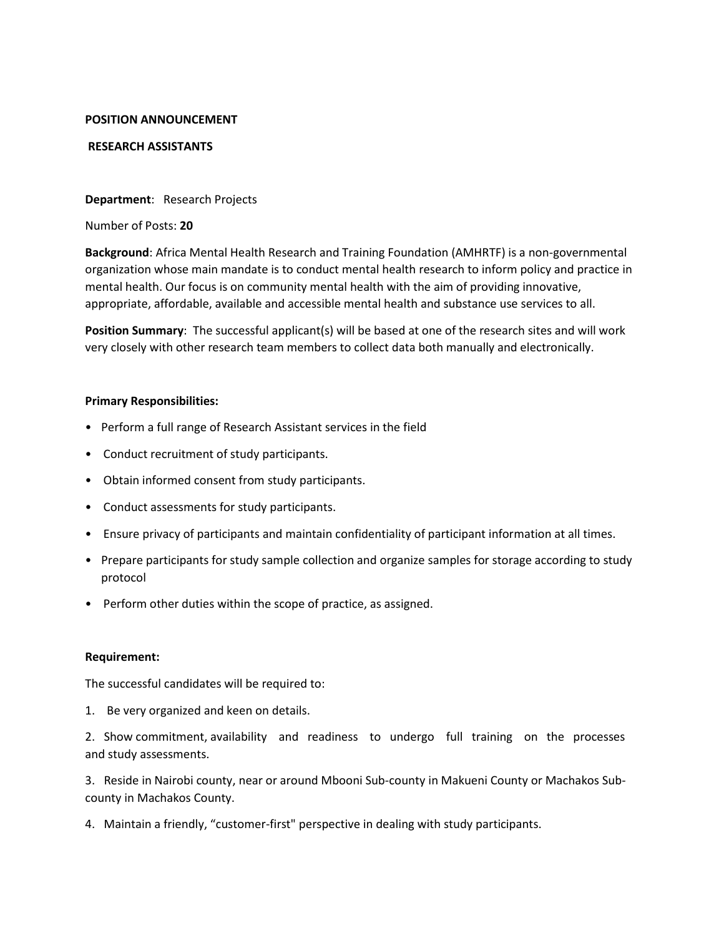### **POSITION ANNOUNCEMENT**

### **RESEARCH ASSISTANTS**

### **Department**: Research Projects

Number of Posts: **20**

**Background**: Africa Mental Health Research and Training Foundation (AMHRTF) is a non-governmental organization whose main mandate is to conduct mental health research to inform policy and practice in mental health. Our focus is on community mental health with the aim of providing innovative, appropriate, affordable, available and accessible mental health and substance use services to all.

**Position Summary**: The successful applicant(s) will be based at one of the research sites and will work very closely with other research team members to collect data both manually and electronically.

#### **Primary Responsibilities:**

- Perform a full range of Research Assistant services in the field
- Conduct recruitment of study participants.
- Obtain informed consent from study participants.
- Conduct assessments for study participants.
- Ensure privacy of participants and maintain confidentiality of participant information at all times.
- Prepare participants for study sample collection and organize samples for storage according to study protocol
- Perform other duties within the scope of practice, as assigned.

# **Requirement:**

The successful candidates will be required to:

1. Be very organized and keen on details.

2. Show commitment, availability and readiness to undergo full training on the processes and study assessments.

3. Reside in Nairobi county, near or around Mbooni Sub-county in Makueni County or Machakos Subcounty in Machakos County.

4. Maintain a friendly, "customer-first" perspective in dealing with study participants.